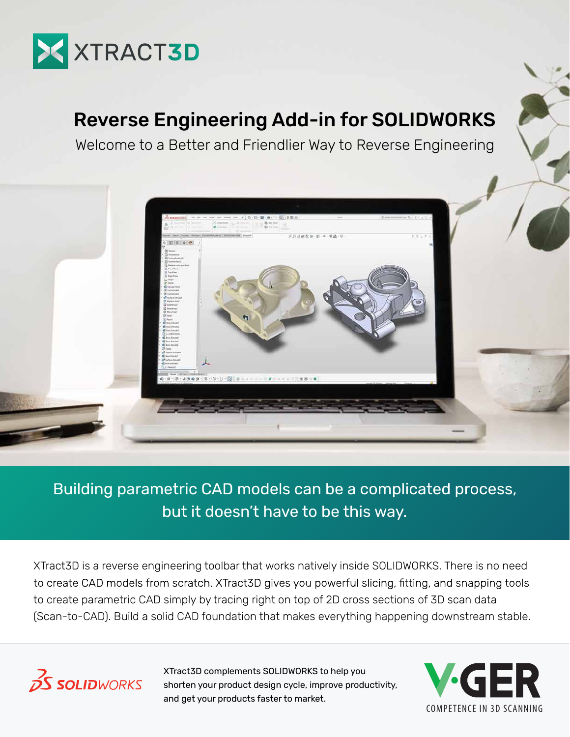

# Reverse Engineering Add-in for SOLIDWORKS

Welcome to a Better and Friendlier Way to Reverse Engineering



### Building parametric CAD models can be a complicated process, but it doesn't have to be this way.

XTract3D is a reverse engineering toolbar that works natively inside SOLIDWORKS. There is no need to create CAD models from scratch. XTract3D gives you powerful slicing, fitting, and snapping tools to create parametric CAD simply by tracing right on top of 2D cross sections of 3D scan data (Scan-to-CAD). Build a solid CAD foundation that makes everything happening downstream stable.



XTract3D complements SOLIDWORKS to help you shorten your product design cycle, improve productivity, and get your products faster to market.